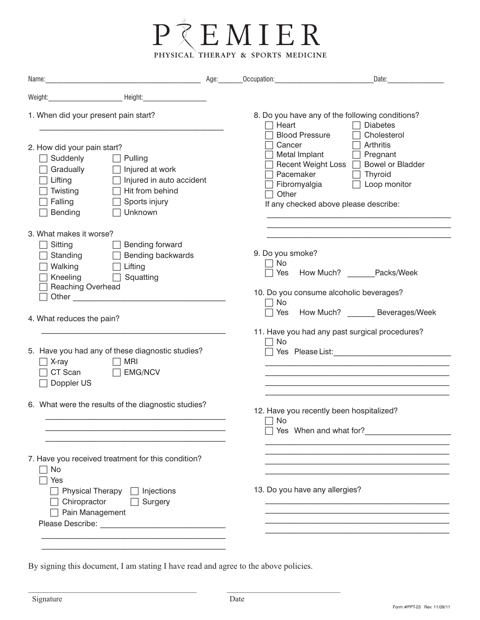

| Name: Age: Age:                                                                                                                                                                                                                                                                                                                                                   | Occupation: Occupation:                                                                | Date:                                                                                                                                                              |
|-------------------------------------------------------------------------------------------------------------------------------------------------------------------------------------------------------------------------------------------------------------------------------------------------------------------------------------------------------------------|----------------------------------------------------------------------------------------|--------------------------------------------------------------------------------------------------------------------------------------------------------------------|
| Weight: Neight: Neight: Neight:                                                                                                                                                                                                                                                                                                                                   |                                                                                        |                                                                                                                                                                    |
| 1. When did your present pain start?                                                                                                                                                                                                                                                                                                                              | Heart                                                                                  | 8. Do you have any of the following conditions?<br><b>Diabetes</b>                                                                                                 |
| 2. How did your pain start?<br>Suddenly<br>Pulling<br>Gradually<br>Injured at work<br>Injured in auto accident<br>Lifting<br>Twisting<br>Hit from behind<br>Falling<br>Sports injury<br>Unknown<br>Bending                                                                                                                                                        | <b>Blood Pressure</b><br>Cancer<br>Metal Implant<br>Pacemaker<br>Fibromyalgia<br>Other | Cholesterol<br>Arthritis<br>$\Box$ Pregnant<br>Recent Weight Loss  <br><b>Bowel or Bladder</b><br>Thyroid<br>Loop monitor<br>If any checked above please describe: |
| 3. What makes it worse?                                                                                                                                                                                                                                                                                                                                           |                                                                                        |                                                                                                                                                                    |
| Sitting<br>Bending forward<br>Standing<br>Bending backwards<br>Walking<br>Lifting<br>Kneeling<br>Squatting<br>Reaching Overhead<br>Other experiences and the contract of the contract of the contract of the contract of the contract of the contract of the contract of the contract of the contract of the contract of the contract of the contract of the cont | 9. Do you smoke?<br>No<br>$\Box$ No                                                    | Yes How Much? Packs/Week<br>10. Do you consume alcoholic beverages?                                                                                                |
| 4. What reduces the pain?                                                                                                                                                                                                                                                                                                                                         |                                                                                        | Yes How Much? Beverages/Week                                                                                                                                       |
| 5. Have you had any of these diagnostic studies?<br>MRI<br>X-ray<br>CT Scan<br><b>EMG/NCV</b><br>Doppler US                                                                                                                                                                                                                                                       | No                                                                                     | 11. Have you had any past surgical procedures?<br>Yes Please List: New York 1997                                                                                   |
| 6. What were the results of the diagnostic studies?                                                                                                                                                                                                                                                                                                               |                                                                                        | 12. Have you recently been hospitalized?<br>$\Box$ No<br>Yes When and what for?                                                                                    |
| 7. Have you received treatment for this condition?<br>No<br>Yes                                                                                                                                                                                                                                                                                                   |                                                                                        |                                                                                                                                                                    |
| $\Box$ Physical Therapy $\Box$ Injections<br>Chiropractor<br>$\Box$ Surgery<br>Pain Management                                                                                                                                                                                                                                                                    | 13. Do you have any allergies?                                                         |                                                                                                                                                                    |
|                                                                                                                                                                                                                                                                                                                                                                   |                                                                                        |                                                                                                                                                                    |

By signing this document, I am stating I have read and agree to the above policies.

 $\mathcal{L}_\text{max} = \frac{1}{2} \sum_{i=1}^{n} \frac{1}{2} \sum_{i=1}^{n} \frac{1}{2} \sum_{i=1}^{n} \frac{1}{2} \sum_{i=1}^{n} \frac{1}{2} \sum_{i=1}^{n} \frac{1}{2} \sum_{i=1}^{n} \frac{1}{2} \sum_{i=1}^{n} \frac{1}{2} \sum_{i=1}^{n} \frac{1}{2} \sum_{i=1}^{n} \frac{1}{2} \sum_{i=1}^{n} \frac{1}{2} \sum_{i=1}^{n} \frac{1}{2} \sum_{i=1}^{n} \frac{1$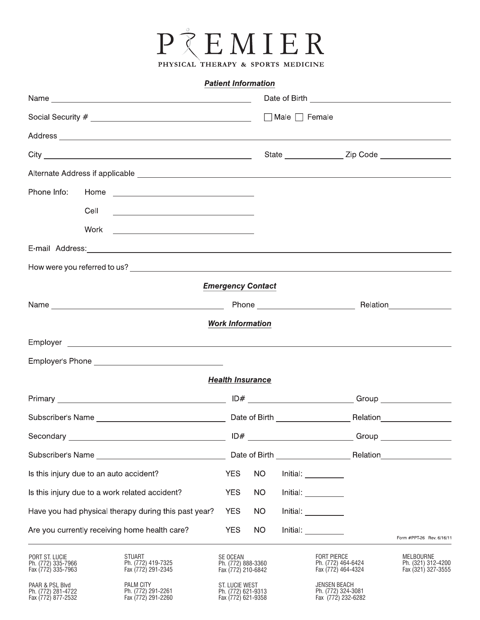

### **Patient Information**

|                                                             | Address experience and the contract of the contract of the contract of the contract of the contract of the contract of the contract of the contract of the contract of the contract of the contract of the contract of the con |                                                            |           |  |                                                                 |                        |                                                              |
|-------------------------------------------------------------|--------------------------------------------------------------------------------------------------------------------------------------------------------------------------------------------------------------------------------|------------------------------------------------------------|-----------|--|-----------------------------------------------------------------|------------------------|--------------------------------------------------------------|
|                                                             |                                                                                                                                                                                                                                |                                                            |           |  |                                                                 |                        |                                                              |
|                                                             |                                                                                                                                                                                                                                |                                                            |           |  |                                                                 |                        |                                                              |
|                                                             |                                                                                                                                                                                                                                |                                                            |           |  |                                                                 |                        |                                                              |
|                                                             |                                                                                                                                                                                                                                |                                                            |           |  |                                                                 |                        |                                                              |
|                                                             |                                                                                                                                                                                                                                |                                                            |           |  |                                                                 |                        |                                                              |
|                                                             | E-mail Address: Note and Address: Note and Address and Address and Address and Address and Address and Address                                                                                                                 |                                                            |           |  |                                                                 |                        |                                                              |
|                                                             |                                                                                                                                                                                                                                |                                                            |           |  |                                                                 |                        |                                                              |
|                                                             |                                                                                                                                                                                                                                | <b>Emergency Contact</b>                                   |           |  |                                                                 |                        |                                                              |
|                                                             |                                                                                                                                                                                                                                |                                                            |           |  |                                                                 |                        |                                                              |
|                                                             |                                                                                                                                                                                                                                | <b>Work Information</b>                                    |           |  |                                                                 |                        |                                                              |
|                                                             |                                                                                                                                                                                                                                |                                                            |           |  |                                                                 |                        |                                                              |
|                                                             |                                                                                                                                                                                                                                |                                                            |           |  |                                                                 |                        |                                                              |
|                                                             |                                                                                                                                                                                                                                | <b>Health Insurance</b>                                    |           |  |                                                                 |                        |                                                              |
|                                                             |                                                                                                                                                                                                                                |                                                            |           |  |                                                                 |                        |                                                              |
|                                                             |                                                                                                                                                                                                                                |                                                            |           |  |                                                                 |                        |                                                              |
|                                                             | Secondary <u>example and the secondary secondary</u>                                                                                                                                                                           |                                                            |           |  |                                                                 |                        |                                                              |
| Subscriber's Name                                           |                                                                                                                                                                                                                                |                                                            |           |  |                                                                 | Date of Birth Relation |                                                              |
|                                                             | Is this injury due to an auto accident?                                                                                                                                                                                        | <b>YES</b>                                                 | <b>NO</b> |  | Initial:                                                        |                        |                                                              |
|                                                             | Is this injury due to a work related accident?                                                                                                                                                                                 | <b>YES</b>                                                 | <b>NO</b> |  | $Initial: ____________$                                         |                        |                                                              |
| Have you had physical therapy during this past year?        |                                                                                                                                                                                                                                | <b>YES</b>                                                 | NO        |  | Initial: <u>_________</u>                                       |                        |                                                              |
|                                                             | Are you currently receiving home health care?                                                                                                                                                                                  | <b>YES</b>                                                 | NO        |  | Initial: <b>Alice Strategies</b>                                |                        | Form #PPT-26 Rev. 6/16/11                                    |
| PORT ST. LUCIE<br>Ph. (772) 335-7966<br>Fax (772) 335-7963  | <b>STUART</b><br>Ph. (772) 419-7325<br>Fax (772) 291-2345                                                                                                                                                                      | SE OCEAN<br>Ph. (772) 888-3360<br>Fax (772) 210-6842       |           |  | <b>FORT PIERCE</b><br>Ph. (772) 464-6424<br>Fax (772) 464-4324  |                        | <b>MELBOURNE</b><br>Ph. (321) 312-4200<br>Fax (321) 327-3555 |
| PAAR & PSL Blvd<br>Ph. (772) 281-4722<br>Fax (772) 877-2532 | PALM CITY<br>Ph. (772) 291-2261<br>Fax (772) 291-2260                                                                                                                                                                          | ST. LUCIE WEST<br>Ph. (772) 621-9313<br>Fax (772) 621-9358 |           |  | <b>JENSEN BEACH</b><br>Ph. (772) 324-3081<br>Fax (772) 232-6282 |                        |                                                              |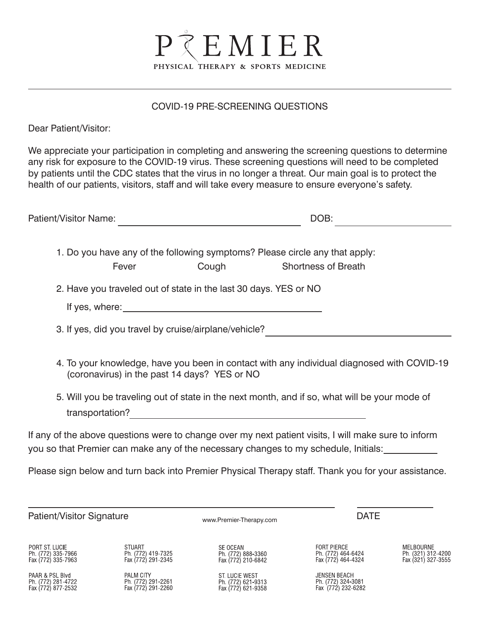

### COVID-19 PRE-SCREENING QUESTIONS

Dear Patient/Visitor:

We appreciate your participation in completing and answering the screening questions to determine any risk for exposure to the COVID-19 virus. These screening questions will need to be completed by patients until the CDC states that the virus in no longer a threat. Our main goal is to protect the health of our patients, visitors, staff and will take every measure to ensure everyone's safety.

| Patient/Visitor Name:                                       |                                                           |                                                                  | DOB:                                                                                                                                                                                        |                                                       |
|-------------------------------------------------------------|-----------------------------------------------------------|------------------------------------------------------------------|---------------------------------------------------------------------------------------------------------------------------------------------------------------------------------------------|-------------------------------------------------------|
|                                                             | Fever                                                     | <b>Cough Cough</b>                                               | 1. Do you have any of the following symptoms? Please circle any that apply:<br><b>Shortness of Breath</b>                                                                                   |                                                       |
|                                                             |                                                           | 2. Have you traveled out of state in the last 30 days. YES or NO |                                                                                                                                                                                             |                                                       |
|                                                             |                                                           |                                                                  |                                                                                                                                                                                             |                                                       |
|                                                             |                                                           |                                                                  |                                                                                                                                                                                             |                                                       |
|                                                             | (coronavirus) in the past 14 days? YES or NO              |                                                                  | 4. To your knowledge, have you been in contact with any individual diagnosed with COVID-19                                                                                                  |                                                       |
|                                                             |                                                           |                                                                  | 5. Will you be traveling out of state in the next month, and if so, what will be your mode of                                                                                               |                                                       |
|                                                             |                                                           |                                                                  | If any of the above questions were to change over my next patient visits, I will make sure to inform<br>you so that Premier can make any of the necessary changes to my schedule, Initials: |                                                       |
|                                                             |                                                           |                                                                  | Please sign below and turn back into Premier Physical Therapy staff. Thank you for your assistance.                                                                                         |                                                       |
|                                                             |                                                           |                                                                  |                                                                                                                                                                                             |                                                       |
| <b>Patient/Visitor Signature</b>                            |                                                           | <b>DATE</b><br>www.Premier-Therapy.com                           |                                                                                                                                                                                             |                                                       |
| PORT ST. LUCIE<br>Ph (772) 335-7966<br>Fax (772) 335-7963   | <b>STUART</b><br>Ph. (772) 419-7325<br>Fax (772) 291-2345 | SE OCEAN<br>Ph. (772) 888-3360<br>Fax (772) 210-6842             | <b>FORT PIERCE</b><br>Ph. (772) 464-6424<br>Fax (772) 464-4324                                                                                                                              | MELBOURNE<br>Ph. (321) 312-4200<br>Fax (321) 327-3555 |
| PAAR & PSL Blvd<br>Ph. (772) 281-4722<br>Fax (772) 877-2532 | PALM CITY<br>Ph. (772) 291-2261<br>Fax (772) 291-2260     | ST. LUCIE WEST<br>Ph. (772) 621-9313<br>Fax (772) 621-9358       | <b>JENSEN BEACH</b><br>Ph. (772) 324-3081<br>Fax (772) 232-6282                                                                                                                             |                                                       |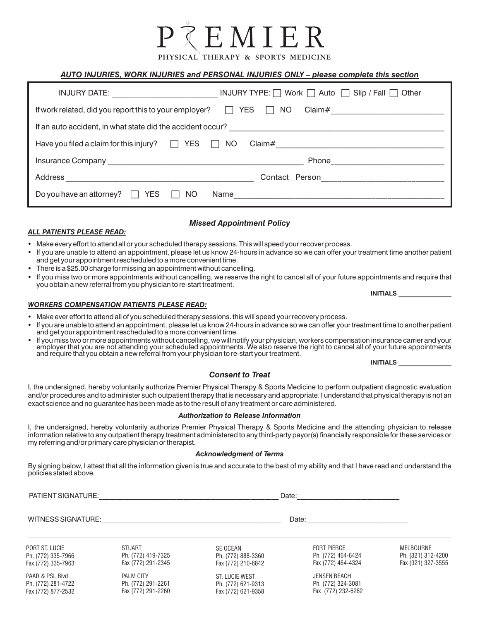## EMIEI

PHYSICAL THERAPY & SPORTS MEDICINE

### *AUTO INJURIES, WORK INJURIES and PERSONAL INJURIES ONLY – please complete this section*

| INJURY DATE: _________________________                                                      | INJURY TYPE: $\Box$ Work $\Box$ Auto $\Box$ Slip / Fall $\Box$ Other |  |  |  |  |
|---------------------------------------------------------------------------------------------|----------------------------------------------------------------------|--|--|--|--|
| If work related, did you report this to your employer?<br><b>YES</b><br>NO.<br>$\mathbf{1}$ |                                                                      |  |  |  |  |
|                                                                                             |                                                                      |  |  |  |  |
| <b>YES</b><br>Have you filed a claim for this injury? $\Box$<br>$\Box$                      | NO.                                                                  |  |  |  |  |
|                                                                                             | Phone                                                                |  |  |  |  |
| Address                                                                                     | Contact Person___________________________                            |  |  |  |  |
| Do you have an attorney?<br><b>YES</b><br>NO.<br>Name                                       |                                                                      |  |  |  |  |

### *Missed Appointment Policy*

- Make every effort to attend all or your scheduled therapy sessions. This will speed your recover process.
- If you are unable to attend an appointment, please let us know 24-hours in advance so we can offer your treatment time another patient and get your appointment rescheduled to a more convenient time.
- There is a \$25.00 charge for missing an appointment without cancelling.
- If you miss two or more appointments without cancelling, we reserve the right to cancel all of your future appointments and require that you obtain a new referral from you physician to re-start treatment.

**INITIALS \_\_\_\_\_\_\_\_\_\_\_\_\_\_\_** *WORKERS COMPENSATION PATIENTS PLEASE READ:*

- Make ever effort to attend all of you scheduled therapy sessions. this will speed your recovery process.
- If you are unable to attend an appointment, please let us know 24-hours in advance so we can offer your treatment time to another patient and get your appointment rescheduled to a more convenient time.
- If you miss two or more appointments without cancelling, we will notify your physician, workers compensation insurance carrier and your employer that you are not attending your scheduled appointments. We also reserve the right to cancel all of your future appointments and require that you obtain a new referral from your physician to re-start your treatment.

**INITIALS \_\_\_\_\_\_\_\_\_\_\_\_\_\_\_**

### *Consent to Treat*

I, the undersigned, hereby voluntarily authorize Premier Physical Therapy & Sports Medicine to perform outpatient diagnostic evaluation and/or procedures and to administer such outpatient therapy that is necessary and appropriate. I understand that physical therapy is not an exact science and no guarantee has been made as to the result of any treatment or care administered.

### *Authorization to Release Information*

I, the undersigned, hereby voluntarily authorize Premier Physical Therapy & Sports Medicine and the attending physician to release information relative to any outpatient therapy treatment administered to any third-party payor(s) financially responsible for these services or my referring and/or primary care physician or therapist.

### *Acknowledgment of Terms*

By signing below, I attest that all the information given is true and accurate to the best of my ability and that I have read and understand the policies stated above.

PATIENT SIGNATURE:\_\_\_\_\_\_\_\_\_\_\_\_\_\_\_\_\_\_\_\_\_\_\_\_\_\_\_\_\_\_\_\_\_\_\_\_\_\_\_\_\_\_\_\_\_\_\_\_\_\_\_ Date:\_\_\_\_\_\_\_\_\_\_\_\_\_\_\_\_\_\_\_\_\_\_\_\_\_\_\_\_\_

*ALL PATIENTS PLEASE READ:*

WITNESS SIGNATURE:\_\_\_\_\_\_\_\_\_\_\_\_\_\_\_\_\_\_\_\_\_\_\_\_\_\_\_\_\_\_\_\_\_\_\_\_\_\_\_\_\_\_\_\_\_\_\_\_\_\_\_ Date:\_\_\_\_\_\_\_\_\_\_\_\_\_\_\_\_\_\_\_\_\_\_\_\_\_\_\_\_\_

PORT ST. LUCIE Ph. (772) 335-7966 Fax (772) 335-7963

PAAR & PSL Blvd Ph. (772) 281-4722 Fax (772) 877-2532

STUART Ph. (772) 419-7325 Fax (772) 291-2345

PALM CITY Ph. (772) 291-2261 Fax (772) 291-2260

SE OCEAN Ph. (772) 888-3360 Fax (772) 210-6842

ST. LUCIE WEST Ph. (772) 621-9313 Fax (772) 621-9358

FORT PIERCE Ph. (772) 464-6424 Fax (772) 464-4324

JENSEN BEACH Ph. (772) 324-3081 Fax (772) 232-6282 MELBOURNE Ph. (321) 312-4200 Fax (321) 327-3555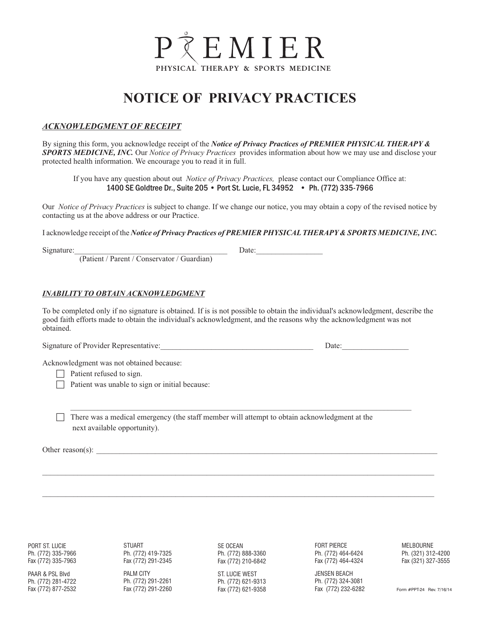

### **NOTICE OF PRIVACY PRACTICES**

### *ACKNOWLEDGMENT OF RECEIPT*

By signing this form, you acknowledge receipt of the *Notice of Privacy Practices of PREMIER PHYSICAL THERAPY & SPORTS MEDICINE, INC.* Our *Notice of Privacy Practices* provides information about how we may use and disclose your protected health information. We encourage you to read it in full.

If you have any question about out *Notice of Privacy Practices,* please contact our Compliance Office at: 1400 SE Goldtree Dr., Suite 205 • Port St. Lucie, FL 34952 • Ph. (772) 335-7966

Our *Notice of Privacy Practices* is subject to change. If we change our notice, you may obtain a copy of the revised notice by contacting us at the above address or our Practice.

I acknowledge receipt of the *Notice of Privacy Practices of PREMIER PHYSICALTHERAPY& SPORTS MEDICINE, INC.* 

Signature:\_\_\_\_\_\_\_\_\_\_\_\_\_\_\_\_\_\_\_\_\_\_\_\_\_\_\_\_\_\_\_\_\_\_\_\_\_\_\_ Date:\_\_\_\_\_\_\_\_\_\_\_\_\_\_\_\_\_

(Patient / Parent / Conservator / Guardian)

#### *INABILITY TO OBTAIN ACKNOWLEDGMENT*

To be completed only if no signature is obtained. If is is not possible to obtain the individual's acknowledgment, describe the good faith efforts made to obtain the individual's acknowledgment, and the reasons why the acknowledgment was not obtained.

\_\_\_\_\_\_\_\_\_\_\_\_\_\_\_\_\_\_\_\_\_\_\_\_\_\_\_\_\_\_\_\_\_\_\_\_\_\_\_\_\_\_\_\_\_\_\_\_\_\_\_\_\_\_\_\_\_\_\_\_\_\_\_\_\_\_\_\_\_\_\_\_\_\_\_\_\_\_\_\_\_\_\_\_\_\_\_

\_\_\_\_\_\_\_\_\_\_\_\_\_\_\_\_\_\_\_\_\_\_\_\_\_\_\_\_\_\_\_\_\_\_\_\_\_\_\_\_\_\_\_\_\_\_\_\_\_\_\_\_\_\_\_\_\_\_\_\_\_\_\_\_\_\_\_\_\_\_\_\_\_\_\_\_\_\_\_\_\_\_\_\_\_\_\_\_\_\_\_\_\_\_\_\_\_\_\_\_

\_\_\_\_\_\_\_\_\_\_\_\_\_\_\_\_\_\_\_\_\_\_\_\_\_\_\_\_\_\_\_\_\_\_\_\_\_\_\_\_\_\_\_\_\_\_\_\_\_\_\_\_\_\_\_\_\_\_\_\_\_\_\_\_\_\_\_\_\_\_\_\_\_\_\_\_\_\_\_\_\_\_\_\_\_\_\_\_\_\_\_\_\_\_\_\_\_\_\_\_

Signature of Provider Representative:\_\_\_\_\_\_\_\_\_\_\_\_\_\_\_\_\_\_\_\_\_\_\_\_\_\_\_\_\_\_\_\_\_\_\_\_\_\_\_ Date:\_\_\_\_\_\_\_\_\_\_\_\_\_\_\_\_\_

Acknowledgment was not obtained because:

 $\Box$  Patient refused to sign.

 $\Box$  Patient was unable to sign or initial because:

 $\Box$  There was a medical emergency (the staff member will attempt to obtain acknowledgment at the next available opportunity).

Other reason(s):

PORT ST. LUCIE Ph. (772) 335-7966 Fax (772) 335-7963

PAAR & PSL Blvd Ph. (772) 281-4722 Fax (772) 877-2532 STUART Ph. (772) 419-7325 Fax (772) 291-2345

PALM CITY Ph. (772) 291-2261 Fax (772) 291-2260

SE OCEAN Ph. (772) 888-3360 Fax (772) 210-6842

ST. LUCIE WEST Ph. (772) 621-9313 Fax (772) 621-9358 FORT PIERCE Ph. (772) 464-6424 Fax (772) 464-4324

JENSEN BEACH Ph. (772) 324-3081 Fax (772) 232-6282

MELBOURNE Ph. (321) 312-4200 Fax (321) 327-3555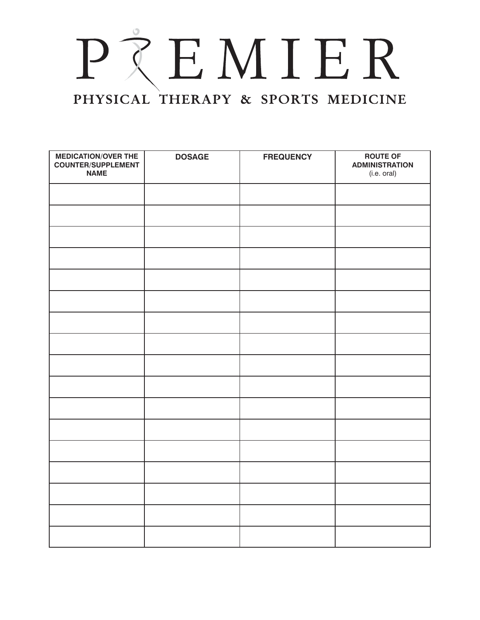# PREMIER PHYSICAL THERAPY & SPORTS MEDICINE

| <b>MEDICATION/OVER THE</b><br><b>COUNTER/SUPPLEMENT</b> | <b>DOSAGE</b> | <b>FREQUENCY</b> | <b>ROUTE OF</b><br><b>ADMINISTRATION</b> |
|---------------------------------------------------------|---------------|------------------|------------------------------------------|
| <b>NAME</b>                                             |               |                  | (i.e. oral)                              |
|                                                         |               |                  |                                          |
|                                                         |               |                  |                                          |
|                                                         |               |                  |                                          |
|                                                         |               |                  |                                          |
|                                                         |               |                  |                                          |
|                                                         |               |                  |                                          |
|                                                         |               |                  |                                          |
|                                                         |               |                  |                                          |
|                                                         |               |                  |                                          |
|                                                         |               |                  |                                          |
|                                                         |               |                  |                                          |
|                                                         |               |                  |                                          |
|                                                         |               |                  |                                          |
|                                                         |               |                  |                                          |
|                                                         |               |                  |                                          |
|                                                         |               |                  |                                          |
|                                                         |               |                  |                                          |
|                                                         |               |                  |                                          |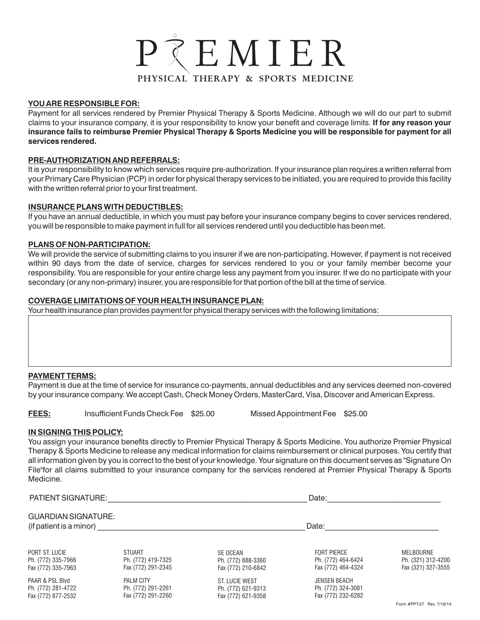### PTEMIER PHYSICAL THERAPY & SPORTS MEDICINE

### **YOU ARE RESPONSIBLE FOR:**

Payment for all services rendered by Premier Physical Therapy & Sports Medicine. Although we will do our part to submit claims to your insurance company, it is your responsibility to know your benefit and coverage limits. **If for any reason your insurance fails to reimburse Premier Physical Therapy & Sports Medicine you will be responsible for payment for all services rendered.**

### **PRE-AUTHORIZATION AND REFERRALS:**

It is your responsibility to know which services require pre-authorization. If your insurance plan requires a written referral from your Primary Care Physician (PCP) in order for physical therapy services to be initiated, you are required to provide this facility with the written referral prior to your first treatment.

### **INSURANCE PLANS WITH DEDUCTIBLES:**

If you have an annual deductible, in which you must pay before your insurance company begins to cover services rendered, you will be responsible to make payment in full for all services rendered until you deductible has been met.

### **PLANS OF NON-PARTICIPATION:**

We will provide the service of submitting claims to you insurer if we are non-participating. However, if payment is not received within 90 days from the date of service, charges for services rendered to you or your family member become your responsibility. You are responsible for your entire charge less any payment from you insurer. If we do no participate with your secondary (or any non-primary) insurer, you are responsible for that portion of the bill at the time of service.

### **COVERAGE LIMITATIONS OF YOUR HEALTH INSURANCE PLAN:**

Your health insurance plan provides payment for physical therapy services with the following limitations:

### **PAYMENT TERMS:**

Payment is due at the time of service for insurance co-payments, annual deductibles and any services deemed non-covered by your insurance company. We accept Cash, Check Money Orders, MasterCard, Visa, Discover and American Express.

**FEES:** Insufficient Funds Check Fee \$25.00 Missed Appointment Fee \$25.00

### **IN SIGNING THIS POLICY:**

You assign your insurance benefits directly to Premier Physical Therapy & Sports Medicine. You authorize Premier Physical Therapy & Sports Medicine to release any medical information for claims reimbursement or clinical purposes. You certify that all information given by you is correct to the best of your knowledge. Your signature on this document serves as "Signature On File"for all claims submitted to your insurance company for the services rendered at Premier Physical Therapy & Sports Medicine.

| <b>PATIENT SIGNATURE:</b>                             |                    |                    | Date:               |                    |  |  |
|-------------------------------------------------------|--------------------|--------------------|---------------------|--------------------|--|--|
| <b>GUARDIAN SIGNATURE:</b><br>(if patient is a minor) |                    |                    | Date:               |                    |  |  |
| PORT ST. LUCIE                                        | <b>STUART</b>      | SE OCEAN           | <b>FORT PIERCE</b>  | <b>MELBOURNE</b>   |  |  |
| Ph. (772) 335-7966                                    | Ph. (772) 419-7325 | Ph. (772) 888-3360 | Ph. (772) 464-6424  | Ph. (321) 312-4200 |  |  |
| Fax (772) 335-7963                                    | Fax (772) 291-2345 | Fax (772) 210-6842 | Fax (772) 464-4324  | Fax (321) 327-3555 |  |  |
| PAAR & PSL Blvd                                       | <b>PALM CITY</b>   | ST. LUCIE WEST     | <b>JENSEN BEACH</b> |                    |  |  |
| Ph. (772) 281-4722                                    | Ph. (772) 291-2261 | Ph. (772) 621-9313 | Ph. (772) 324-3081  |                    |  |  |
| Fax (772) 877-2532                                    | Fax (772) 291-2260 | Fax (772) 621-9358 | Fax (772) 232-6282  |                    |  |  |